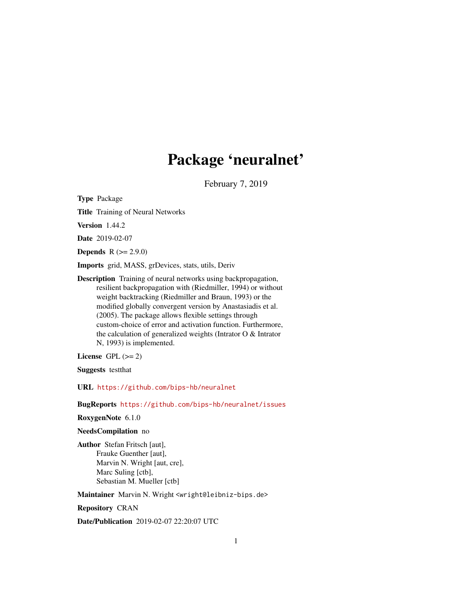## Package 'neuralnet'

February 7, 2019

<span id="page-0-0"></span>Type Package

Title Training of Neural Networks

Version 1.44.2

Date 2019-02-07

**Depends**  $R (= 2.9.0)$ 

Imports grid, MASS, grDevices, stats, utils, Deriv

Description Training of neural networks using backpropagation, resilient backpropagation with (Riedmiller, 1994) or without weight backtracking (Riedmiller and Braun, 1993) or the modified globally convergent version by Anastasiadis et al. (2005). The package allows flexible settings through custom-choice of error and activation function. Furthermore, the calculation of generalized weights (Intrator O & Intrator N, 1993) is implemented.

License GPL  $(>= 2)$ 

Suggests testthat

URL <https://github.com/bips-hb/neuralnet>

BugReports <https://github.com/bips-hb/neuralnet/issues>

RoxygenNote 6.1.0

NeedsCompilation no

Author Stefan Fritsch [aut], Frauke Guenther [aut], Marvin N. Wright [aut, cre], Marc Suling [ctb], Sebastian M. Mueller [ctb]

Maintainer Marvin N. Wright <wright@leibniz-bips.de>

Repository CRAN

Date/Publication 2019-02-07 22:20:07 UTC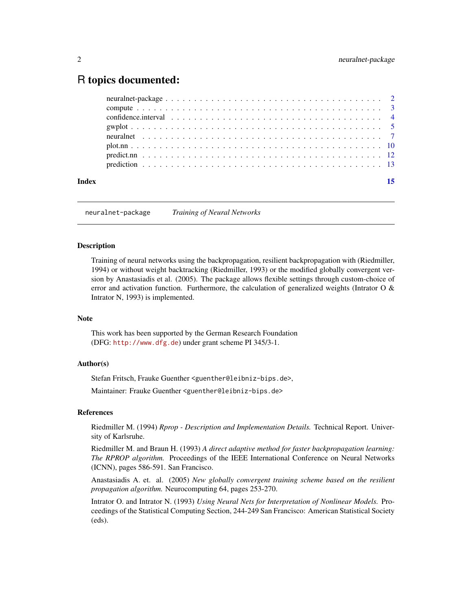### <span id="page-1-0"></span>R topics documented:

| Index | 15 |
|-------|----|
|       |    |
|       |    |
|       |    |
|       |    |
|       |    |
|       |    |
|       |    |
|       |    |

neuralnet-package *Training of Neural Networks*

#### Description

Training of neural networks using the backpropagation, resilient backpropagation with (Riedmiller, 1994) or without weight backtracking (Riedmiller, 1993) or the modified globally convergent version by Anastasiadis et al. (2005). The package allows flexible settings through custom-choice of error and activation function. Furthermore, the calculation of generalized weights (Intrator O  $\&$ Intrator N, 1993) is implemented.

#### Note

This work has been supported by the German Research Foundation (DFG: <http://www.dfg.de>) under grant scheme PI 345/3-1.

#### Author(s)

Stefan Fritsch, Frauke Guenther <guenther@leibniz-bips.de>,

Maintainer: Frauke Guenther <guenther@leibniz-bips.de>

#### References

Riedmiller M. (1994) *Rprop - Description and Implementation Details.* Technical Report. University of Karlsruhe.

Riedmiller M. and Braun H. (1993) *A direct adaptive method for faster backpropagation learning: The RPROP algorithm.* Proceedings of the IEEE International Conference on Neural Networks (ICNN), pages 586-591. San Francisco.

Anastasiadis A. et. al. (2005) *New globally convergent training scheme based on the resilient propagation algorithm.* Neurocomputing 64, pages 253-270.

Intrator O. and Intrator N. (1993) *Using Neural Nets for Interpretation of Nonlinear Models.* Proceedings of the Statistical Computing Section, 244-249 San Francisco: American Statistical Society (eds).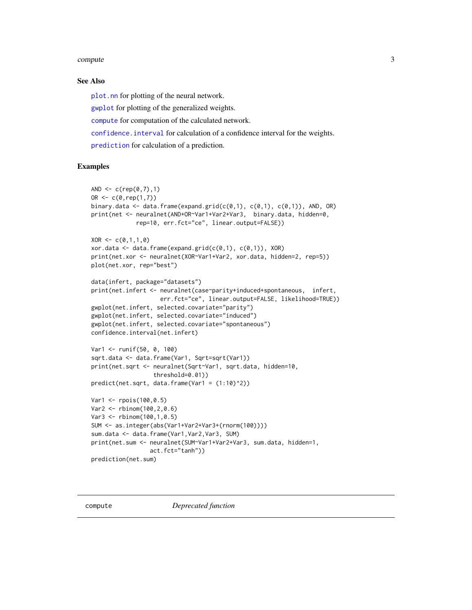#### <span id="page-2-0"></span>compute 3

#### See Also

[plot.nn](#page-9-1) for plotting of the neural network.

[gwplot](#page-4-1) for plotting of the generalized weights.

[compute](#page-2-1) for computation of the calculated network.

[confidence.interval](#page-3-1) for calculation of a confidence interval for the weights.

[prediction](#page-12-1) for calculation of a prediction.

#### Examples

```
AND \leq -c (rep(0,7),1)
OR < -c(0, rep(1,7))binary.data <- data.frame(expand.grid(c(0,1), c(0,1), c(0,1)), AND, OR)
print(net <- neuralnet(AND+OR~Var1+Var2+Var3, binary.data, hidden=0,
             rep=10, err.fct="ce", linear.output=FALSE))
XOR \leftarrow c(0,1,1,0)xor.data \leq data frame(expand.grid(c(0,1), c(0,1)), XOR)print(net.xor <- neuralnet(XOR~Var1+Var2, xor.data, hidden=2, rep=5))
plot(net.xor, rep="best")
data(infert, package="datasets")
print(net.infert <- neuralnet(case~parity+induced+spontaneous, infert,
                    err.fct="ce", linear.output=FALSE, likelihood=TRUE))
gwplot(net.infert, selected.covariate="parity")
gwplot(net.infert, selected.covariate="induced")
gwplot(net.infert, selected.covariate="spontaneous")
confidence.interval(net.infert)
Var1 <- runif(50, 0, 100)
sqrt.data <- data.frame(Var1, Sqrt=sqrt(Var1))
print(net.sqrt <- neuralnet(Sqrt~Var1, sqrt.data, hidden=10,
                  threshold=0.01))
predict(net.sqrt, data-frame(Var1 = (1:10)^2))Var1 <- rpois(100,0.5)
Var2 <- rbinom(100,2,0.6)
Var3 <- rbinom(100,1,0.5)
SUM <- as.integer(abs(Var1+Var2+Var3+(rnorm(100))))
sum.data <- data.frame(Var1,Var2,Var3, SUM)
print(net.sum <- neuralnet(SUM~Var1+Var2+Var3, sum.data, hidden=1,
                 act.fct="tanh"))
prediction(net.sum)
```
<span id="page-2-1"></span>compute *Deprecated function*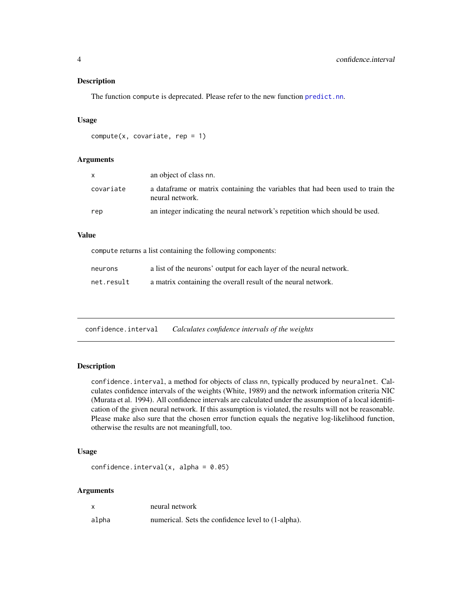#### <span id="page-3-0"></span>Description

The function compute is deprecated. Please refer to the new function [predict.nn](#page-11-1).

#### Usage

```
compute(x, covariate, rep = 1)
```
#### Arguments

| X         | an object of class nn.                                                                             |
|-----------|----------------------------------------------------------------------------------------------------|
| covariate | a data frame or matrix containing the variables that had been used to train the<br>neural network. |
| rep       | an integer indicating the neural network's repetition which should be used.                        |

#### Value

compute returns a list containing the following components:

| neurons    | a list of the neurons' output for each layer of the neural network. |
|------------|---------------------------------------------------------------------|
| net.result | a matrix containing the overall result of the neural network.       |

<span id="page-3-1"></span>confidence.interval *Calculates confidence intervals of the weights*

#### Description

confidence.interval, a method for objects of class nn, typically produced by neuralnet. Calculates confidence intervals of the weights (White, 1989) and the network information criteria NIC (Murata et al. 1994). All confidence intervals are calculated under the assumption of a local identification of the given neural network. If this assumption is violated, the results will not be reasonable. Please make also sure that the chosen error function equals the negative log-likelihood function, otherwise the results are not meaningfull, too.

#### Usage

```
confidence.interval(x, alpha = 0.05)
```
#### Arguments

| $\boldsymbol{\mathsf{x}}$ | neural network                                     |
|---------------------------|----------------------------------------------------|
| alpha                     | numerical. Sets the confidence level to (1-alpha). |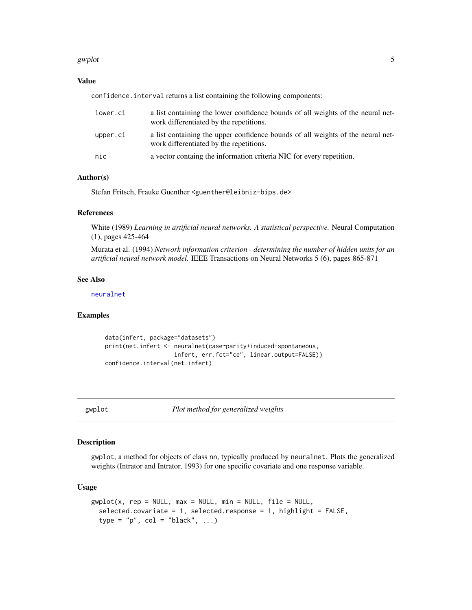#### <span id="page-4-0"></span>gwplot 5

#### Value

confidence.interval returns a list containing the following components:

| lower.ci | a list containing the lower confidence bounds of all weights of the neural net-<br>work differentiated by the repetitions. |
|----------|----------------------------------------------------------------------------------------------------------------------------|
| upper.ci | a list containing the upper confidence bounds of all weights of the neural net-<br>work differentiated by the repetitions. |
| nic      | a vector containg the information criteria NIC for every repetition.                                                       |

#### Author(s)

Stefan Fritsch, Frauke Guenther <guenther@leibniz-bips.de>

#### References

White (1989) *Learning in artificial neural networks. A statistical perspective.* Neural Computation (1), pages 425-464

Murata et al. (1994) *Network information criterion - determining the number of hidden units for an artificial neural network model.* IEEE Transactions on Neural Networks 5 (6), pages 865-871

#### See Also

[neuralnet](#page-6-1)

#### Examples

```
data(infert, package="datasets")
print(net.infert <- neuralnet(case~parity+induced+spontaneous,
                    infert, err.fct="ce", linear.output=FALSE))
confidence.interval(net.infert)
```
<span id="page-4-1"></span>gwplot *Plot method for generalized weights*

#### Description

gwplot, a method for objects of class nn, typically produced by neuralnet. Plots the generalized weights (Intrator and Intrator, 1993) for one specific covariate and one response variable.

#### Usage

```
gwplot(x, rep = NULL, max = NULL, min = NULL, file = NULL,selected.covariate = 1, selected.response = 1, highlight = FALSE,
  type = "p", col = "black", ...)
```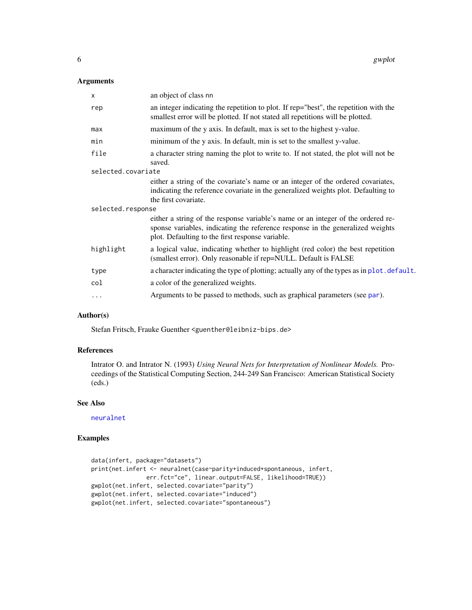#### <span id="page-5-0"></span>Arguments

| $\mathsf{x}$       | an object of class nn                                                                                                                                                                                                  |  |
|--------------------|------------------------------------------------------------------------------------------------------------------------------------------------------------------------------------------------------------------------|--|
| rep                | an integer indicating the repetition to plot. If rep="best", the repetition with the<br>smallest error will be plotted. If not stated all repetitions will be plotted.                                                 |  |
| max                | maximum of the y axis. In default, max is set to the highest y-value.                                                                                                                                                  |  |
| min                | minimum of the y axis. In default, min is set to the smallest y-value.                                                                                                                                                 |  |
| file               | a character string naming the plot to write to. If not stated, the plot will not be<br>saved.                                                                                                                          |  |
| selected.covariate |                                                                                                                                                                                                                        |  |
|                    | either a string of the covariate's name or an integer of the ordered covariates,<br>indicating the reference covariate in the generalized weights plot. Defaulting to<br>the first covariate.                          |  |
| selected.response  |                                                                                                                                                                                                                        |  |
|                    | either a string of the response variable's name or an integer of the ordered re-<br>sponse variables, indicating the reference response in the generalized weights<br>plot. Defaulting to the first response variable. |  |
| highlight          | a logical value, indicating whether to highlight (red color) the best repetition<br>(smallest error). Only reasonable if rep=NULL. Default is FALSE                                                                    |  |
| type               | a character indicating the type of plotting; actually any of the types as in plot. default.                                                                                                                            |  |
| col                | a color of the generalized weights.                                                                                                                                                                                    |  |
| $\cdots$           | Arguments to be passed to methods, such as graphical parameters (see par).                                                                                                                                             |  |
|                    |                                                                                                                                                                                                                        |  |

#### Author(s)

Stefan Fritsch, Frauke Guenther <guenther@leibniz-bips.de>

#### References

Intrator O. and Intrator N. (1993) *Using Neural Nets for Interpretation of Nonlinear Models.* Proceedings of the Statistical Computing Section, 244-249 San Francisco: American Statistical Society (eds.)

#### See Also

[neuralnet](#page-6-1)

```
data(infert, package="datasets")
print(net.infert <- neuralnet(case~parity+induced+spontaneous, infert,
               err.fct="ce", linear.output=FALSE, likelihood=TRUE))
gwplot(net.infert, selected.covariate="parity")
gwplot(net.infert, selected.covariate="induced")
gwplot(net.infert, selected.covariate="spontaneous")
```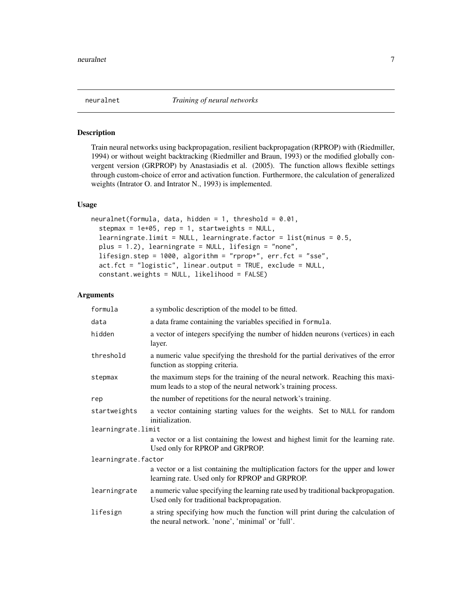<span id="page-6-1"></span><span id="page-6-0"></span>

#### Description

Train neural networks using backpropagation, resilient backpropagation (RPROP) with (Riedmiller, 1994) or without weight backtracking (Riedmiller and Braun, 1993) or the modified globally convergent version (GRPROP) by Anastasiadis et al. (2005). The function allows flexible settings through custom-choice of error and activation function. Furthermore, the calculation of generalized weights (Intrator O. and Intrator N., 1993) is implemented.

#### Usage

```
neuralnet(formula, data, hidden = 1, threshold = 0.01,stepmax = 1e+05, rep = 1, startweights = NULL,
  learningrate.limit = NULL, learningrate.factor = list(minus = 0.5,
 plus = 1.2), learningrate = NULL, lifesign = "none",
 lifesign.step = 1000, algorithm = "rprop+", err.fct = "sse",
  act.fct = "logistic", linear.output = TRUE, exclude = NULL,
  constant.weights = NULL, likelihood = FALSE)
```
#### Arguments

| formula             | a symbolic description of the model to be fitted.                                                                                              |  |
|---------------------|------------------------------------------------------------------------------------------------------------------------------------------------|--|
| data                | a data frame containing the variables specified in formula.                                                                                    |  |
| hidden              | a vector of integers specifying the number of hidden neurons (vertices) in each<br>layer.                                                      |  |
| threshold           | a numeric value specifying the threshold for the partial derivatives of the error<br>function as stopping criteria.                            |  |
| stepmax             | the maximum steps for the training of the neural network. Reaching this maxi-<br>mum leads to a stop of the neural network's training process. |  |
| rep                 | the number of repetitions for the neural network's training.                                                                                   |  |
| startweights        | a vector containing starting values for the weights. Set to NULL for random<br>initialization.                                                 |  |
| learningrate.limit  |                                                                                                                                                |  |
|                     | a vector or a list containing the lowest and highest limit for the learning rate.<br>Used only for RPROP and GRPROP.                           |  |
| learningrate.factor |                                                                                                                                                |  |
|                     | a vector or a list containing the multiplication factors for the upper and lower<br>learning rate. Used only for RPROP and GRPROP.             |  |
| learningrate        | a numeric value specifying the learning rate used by traditional backpropagation.<br>Used only for traditional backpropagation.                |  |
| lifesign            | a string specifying how much the function will print during the calculation of<br>the neural network. 'none', 'minimal' or 'full'.             |  |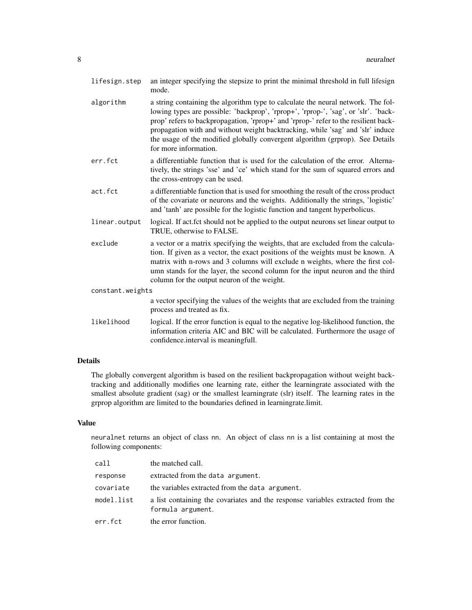| lifesign.step    | an integer specifying the stepsize to print the minimal threshold in full lifesign<br>mode.                                                                                                                                                                                                                                                                                                                                                               |  |
|------------------|-----------------------------------------------------------------------------------------------------------------------------------------------------------------------------------------------------------------------------------------------------------------------------------------------------------------------------------------------------------------------------------------------------------------------------------------------------------|--|
| algorithm        | a string containing the algorithm type to calculate the neural network. The fol-<br>lowing types are possible: 'backprop', 'rprop+', 'rprop-', 'sag', or 'slr'. 'back-<br>prop' refers to backpropagation, 'rprop+' and 'rprop-' refer to the resilient back-<br>propagation with and without weight backtracking, while 'sag' and 'slr' induce<br>the usage of the modified globally convergent algorithm (grprop). See Details<br>for more information. |  |
| err.fct          | a differentiable function that is used for the calculation of the error. Alterna-<br>tively, the strings 'sse' and 'ce' which stand for the sum of squared errors and<br>the cross-entropy can be used.                                                                                                                                                                                                                                                   |  |
| act.fct          | a differentiable function that is used for smoothing the result of the cross product<br>of the covariate or neurons and the weights. Additionally the strings, 'logistic'<br>and 'tanh' are possible for the logistic function and tangent hyperbolicus.                                                                                                                                                                                                  |  |
| linear.output    | logical. If act.fct should not be applied to the output neurons set linear output to<br>TRUE, otherwise to FALSE.                                                                                                                                                                                                                                                                                                                                         |  |
| exclude          | a vector or a matrix specifying the weights, that are excluded from the calcula-<br>tion. If given as a vector, the exact positions of the weights must be known. A<br>matrix with n-rows and 3 columns will exclude n weights, where the first col-<br>umn stands for the layer, the second column for the input neuron and the third<br>column for the output neuron of the weight.                                                                     |  |
| constant.weights |                                                                                                                                                                                                                                                                                                                                                                                                                                                           |  |
|                  | a vector specifying the values of the weights that are excluded from the training<br>process and treated as fix.                                                                                                                                                                                                                                                                                                                                          |  |
| likelihood       | logical. If the error function is equal to the negative log-likelihood function, the<br>information criteria AIC and BIC will be calculated. Furthermore the usage of<br>confidence.interval is meaningfull.                                                                                                                                                                                                                                              |  |

#### Details

The globally convergent algorithm is based on the resilient backpropagation without weight backtracking and additionally modifies one learning rate, either the learningrate associated with the smallest absolute gradient (sag) or the smallest learningrate (slr) itself. The learning rates in the grprop algorithm are limited to the boundaries defined in learningrate.limit.

#### Value

neuralnet returns an object of class nn. An object of class nn is a list containing at most the following components:

| call       | the matched call.                                                                                   |
|------------|-----------------------------------------------------------------------------------------------------|
| response   | extracted from the data argument.                                                                   |
| covariate  | the variables extracted from the data argument.                                                     |
| model.list | a list containing the covariates and the response variables extracted from the<br>formula argument. |
| err.fct    | the error function.                                                                                 |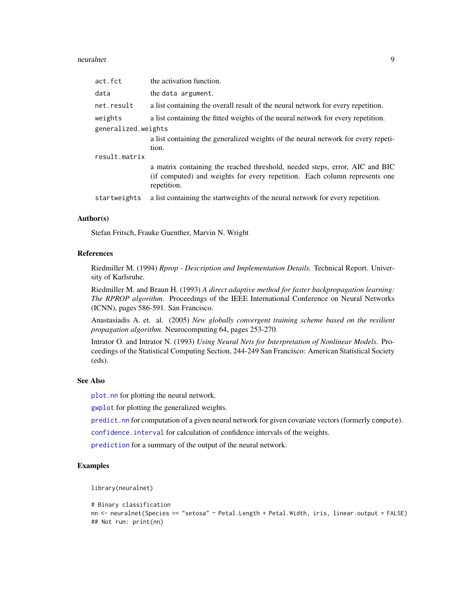#### <span id="page-8-0"></span>neuralnet 9

| act.fct             | the activation function.                                                                                                                                                 |  |
|---------------------|--------------------------------------------------------------------------------------------------------------------------------------------------------------------------|--|
| data                | the data argument.                                                                                                                                                       |  |
| net.result          | a list containing the overall result of the neural network for every repetition.                                                                                         |  |
| weights             | a list containing the fitted weights of the neural network for every repetition.                                                                                         |  |
| generalized.weights |                                                                                                                                                                          |  |
|                     | a list containing the generalized weights of the neural network for every repeti-                                                                                        |  |
|                     | tion.                                                                                                                                                                    |  |
| result.matrix       |                                                                                                                                                                          |  |
|                     | a matrix containing the reached threshold, needed steps, error, AIC and BIC<br>(if computed) and weights for every repetition. Each column represents one<br>repetition. |  |
| startweights        | a list containing the startweights of the neural network for every repetition.                                                                                           |  |

#### Author(s)

Stefan Fritsch, Frauke Guenther, Marvin N. Wright

#### References

Riedmiller M. (1994) *Rprop - Description and Implementation Details.* Technical Report. University of Karlsruhe.

Riedmiller M. and Braun H. (1993) *A direct adaptive method for faster backpropagation learning: The RPROP algorithm.* Proceedings of the IEEE International Conference on Neural Networks (ICNN), pages 586-591. San Francisco.

Anastasiadis A. et. al. (2005) *New globally convergent training scheme based on the resilient propagation algorithm.* Neurocomputing 64, pages 253-270.

Intrator O. and Intrator N. (1993) *Using Neural Nets for Interpretation of Nonlinear Models.* Proceedings of the Statistical Computing Section, 244-249 San Francisco: American Statistical Society (eds).

#### See Also

[plot.nn](#page-9-1) for plotting the neural network.

[gwplot](#page-4-1) for plotting the generalized weights.

[predict.nn](#page-11-1) for computation of a given neural network for given covariate vectors (formerly compute).

[confidence.interval](#page-3-1) for calculation of confidence intervals of the weights.

[prediction](#page-12-1) for a summary of the output of the neural network.

#### Examples

library(neuralnet)

```
# Binary classification
nn <- neuralnet(Species == "setosa" ~ Petal.Length + Petal.Width, iris, linear.output = FALSE)
## Not run: print(nn)
```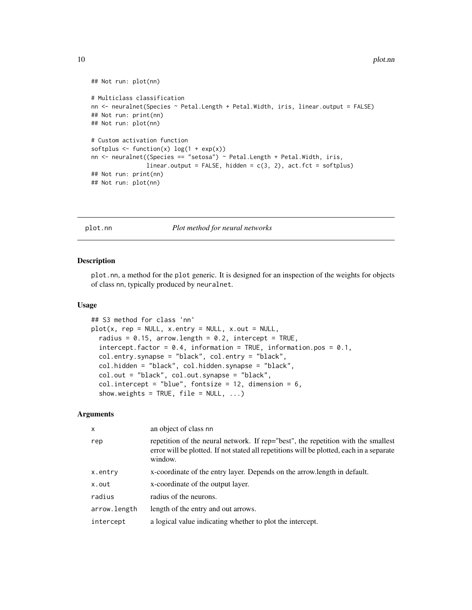```
## Not run: plot(nn)
# Multiclass classification
nn <- neuralnet(Species ~ Petal.Length + Petal.Width, iris, linear.output = FALSE)
## Not run: print(nn)
## Not run: plot(nn)
# Custom activation function
softplus \leftarrow function(x) log(1 + exp(x))
nn <- neuralnet((Species == "setosa") ~ Petal.Length + Petal.Width, iris,
                linear.output = FALSE, hidden = c(3, 2), act.fct = softplus)
## Not run: print(nn)
## Not run: plot(nn)
```
<span id="page-9-1"></span>plot.nn *Plot method for neural networks*

#### Description

plot.nn, a method for the plot generic. It is designed for an inspection of the weights for objects of class nn, typically produced by neuralnet.

#### Usage

```
## S3 method for class 'nn'
plot(x, rep = NULL, x.entry = NULL, x.out = NULL,radius = 0.15, arrow.length = 0.2, intercept = TRUE,
  intercept.factor = 0.4, information = TRUE, information.pos = 0.1,
 col.entry.synapse = "black", col.entry = "black",
 col.hidden = "black", col.hidden.synapse = "black",
 col.out = "black", col.out.synapse = "black",
 col.intercept = "blue", fontsize = 12, dimension = 6,
  show.weights = TRUE, file = NULL, ...)
```
#### **Arguments**

| an object of class nn                                                                                                                                                                    |
|------------------------------------------------------------------------------------------------------------------------------------------------------------------------------------------|
| repetition of the neural network. If rep="best", the repetition with the smallest<br>error will be plotted. If not stated all repetitions will be plotted, each in a separate<br>window. |
| x-coordinate of the entry layer. Depends on the arrow.length in default.                                                                                                                 |
| x-coordinate of the output layer.                                                                                                                                                        |
| radius of the neurons.                                                                                                                                                                   |
| length of the entry and out arrows.                                                                                                                                                      |
| a logical value indicating whether to plot the intercept.                                                                                                                                |
|                                                                                                                                                                                          |

<span id="page-9-0"></span>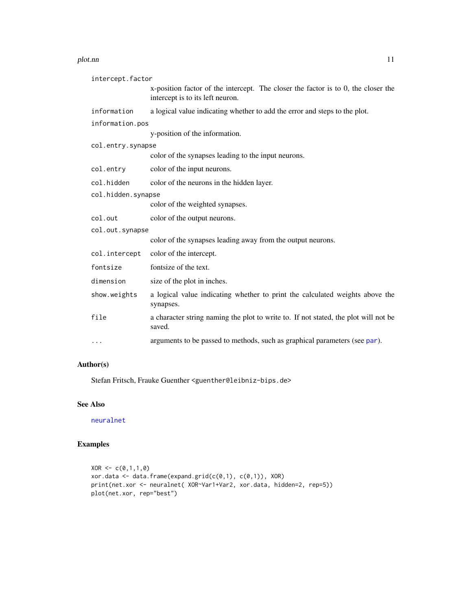#### <span id="page-10-0"></span>plot.nn and the state of the state of the state of the state of the state of the state of the state of the state of the state of the state of the state of the state of the state of the state of the state of the state of th

| intercept.factor   |                                                                                                                       |  |
|--------------------|-----------------------------------------------------------------------------------------------------------------------|--|
|                    | x-position factor of the intercept. The closer the factor is to 0, the closer the<br>intercept is to its left neuron. |  |
| information        | a logical value indicating whether to add the error and steps to the plot.                                            |  |
| information.pos    |                                                                                                                       |  |
|                    | y-position of the information.                                                                                        |  |
| col.entry.synapse  |                                                                                                                       |  |
|                    | color of the synapses leading to the input neurons.                                                                   |  |
| col.entry          | color of the input neurons.                                                                                           |  |
| col.hidden         | color of the neurons in the hidden layer.                                                                             |  |
| col.hidden.synapse |                                                                                                                       |  |
|                    | color of the weighted synapses.                                                                                       |  |
| col.out            | color of the output neurons.                                                                                          |  |
| col.out.synapse    |                                                                                                                       |  |
|                    | color of the synapses leading away from the output neurons.                                                           |  |
| col.intercept      | color of the intercept.                                                                                               |  |
| fontsize           | fontsize of the text.                                                                                                 |  |
| dimension          | size of the plot in inches.                                                                                           |  |
| show.weights       | a logical value indicating whether to print the calculated weights above the<br>synapses.                             |  |
| file               | a character string naming the plot to write to. If not stated, the plot will not be<br>saved.                         |  |
| $\cdots$           | arguments to be passed to methods, such as graphical parameters (see par).                                            |  |

#### Author(s)

Stefan Fritsch, Frauke Guenther <guenther@leibniz-bips.de>

#### See Also

[neuralnet](#page-6-1)

```
XOR < -c(0,1,1,0)xor.data <- data.frame(expand.grid(c(0,1), c(0,1)), XOR)
print(net.xor <- neuralnet( XOR~Var1+Var2, xor.data, hidden=2, rep=5))
plot(net.xor, rep="best")
```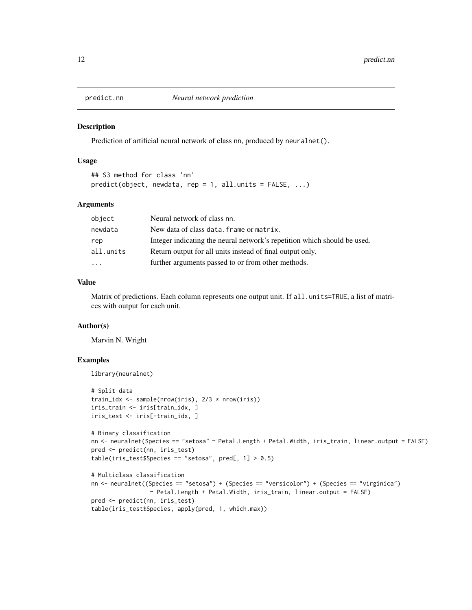<span id="page-11-1"></span><span id="page-11-0"></span>

#### Description

Prediction of artificial neural network of class nn, produced by neuralnet().

#### Usage

```
## S3 method for class 'nn'
predict(object, new data, rep = 1, all.units = FALSE, ...)
```
#### Arguments

| object    | Neural network of class nn.                                              |
|-----------|--------------------------------------------------------------------------|
| newdata   | New data of class data. frame or matrix.                                 |
| rep       | Integer indicating the neural network's repetition which should be used. |
| all.units | Return output for all units instead of final output only.                |
| .         | further arguments passed to or from other methods.                       |

#### Value

Matrix of predictions. Each column represents one output unit. If all . units=TRUE, a list of matrices with output for each unit.

#### Author(s)

Marvin N. Wright

```
library(neuralnet)
# Split data
train_idx <- sample(nrow(iris), 2/3 * nrow(iris))
iris_train <- iris[train_idx, ]
iris_test <- iris[-train_idx, ]
# Binary classification
nn <- neuralnet(Species == "setosa" ~ Petal.Length + Petal.Width, iris_train, linear.output = FALSE)
pred <- predict(nn, iris_test)
table(iris_test$Species == "setosa", pred[, 1] > 0.5)
# Multiclass classification
nn <- neuralnet((Species == "setosa") + (Species == "versicolor") + (Species == "virginica")
                 ~ Petal.Length + Petal.Width, iris_train, linear.output = FALSE)
pred <- predict(nn, iris_test)
table(iris_test$Species, apply(pred, 1, which.max))
```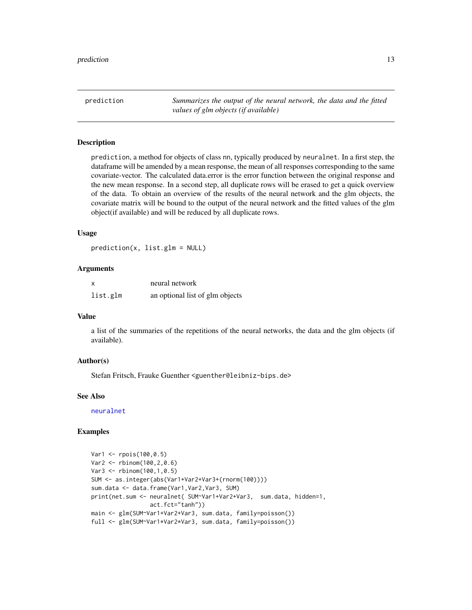<span id="page-12-1"></span><span id="page-12-0"></span>prediction *Summarizes the output of the neural network, the data and the fitted values of glm objects (if available)*

#### **Description**

prediction, a method for objects of class nn, typically produced by neuralnet. In a first step, the dataframe will be amended by a mean response, the mean of all responses corresponding to the same covariate-vector. The calculated data.error is the error function between the original response and the new mean response. In a second step, all duplicate rows will be erased to get a quick overview of the data. To obtain an overview of the results of the neural network and the glm objects, the covariate matrix will be bound to the output of the neural network and the fitted values of the glm object(if available) and will be reduced by all duplicate rows.

#### Usage

prediction(x, list.glm = NULL)

#### Arguments

| X        | neural network                  |
|----------|---------------------------------|
| list.glm | an optional list of glm objects |

#### Value

a list of the summaries of the repetitions of the neural networks, the data and the glm objects (if available).

#### Author(s)

Stefan Fritsch, Frauke Guenther <guenther@leibniz-bips.de>

#### See Also

[neuralnet](#page-6-1)

```
Var1 <- rpois(100,0.5)
Var2 <- rbinom(100,2,0.6)
Var3 <- rbinom(100,1,0.5)
SUM <- as.integer(abs(Var1+Var2+Var3+(rnorm(100))))
sum.data <- data.frame(Var1,Var2,Var3, SUM)
print(net.sum <- neuralnet( SUM~Var1+Var2+Var3, sum.data, hidden=1,
                 act.fct="tanh"))
main <- glm(SUM~Var1+Var2+Var3, sum.data, family=poisson())
full <- glm(SUM~Var1*Var2*Var3, sum.data, family=poisson())
```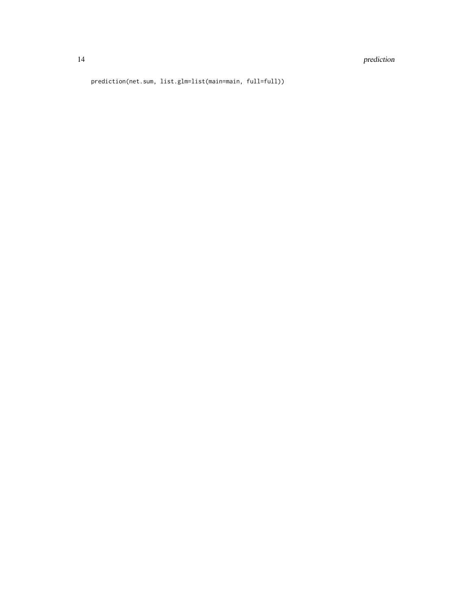#### 14 prediction

prediction(net.sum, list.glm=list(main=main, full=full))